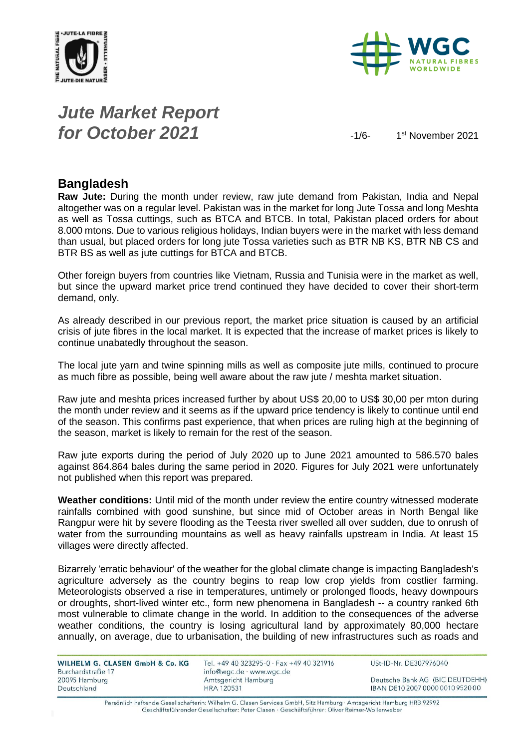



# *Jute Market Report for October 2021*  $\frac{1}{6}$

1<sup>st</sup> November 2021

#### **Bangladesh**

**Raw Jute:** During the month under review, raw jute demand from Pakistan, India and Nepal altogether was on a regular level. Pakistan was in the market for long Jute Tossa and long Meshta as well as Tossa cuttings, such as BTCA and BTCB. In total, Pakistan placed orders for about 8.000 mtons. Due to various religious holidays, Indian buyers were in the market with less demand than usual, but placed orders for long jute Tossa varieties such as BTR NB KS, BTR NB CS and BTR BS as well as jute cuttings for BTCA and BTCB.

Other foreign buyers from countries like Vietnam, Russia and Tunisia were in the market as well, but since the upward market price trend continued they have decided to cover their short-term demand, only.

As already described in our previous report, the market price situation is caused by an artificial crisis of jute fibres in the local market. It is expected that the increase of market prices is likely to continue unabatedly throughout the season.

The local jute yarn and twine spinning mills as well as composite jute mills, continued to procure as much fibre as possible, being well aware about the raw jute / meshta market situation.

Raw jute and meshta prices increased further by about US\$ 20,00 to US\$ 30,00 per mton during the month under review and it seems as if the upward price tendency is likely to continue until end of the season. This confirms past experience, that when prices are ruling high at the beginning of the season, market is likely to remain for the rest of the season.

Raw jute exports during the period of July 2020 up to June 2021 amounted to 586.570 bales against 864.864 bales during the same period in 2020. Figures for July 2021 were unfortunately not published when this report was prepared.

**Weather conditions:** Until mid of the month under review the entire country witnessed moderate rainfalls combined with good sunshine, but since mid of October areas in North Bengal like Rangpur were hit by severe flooding as the Teesta river swelled all over sudden, due to onrush of water from the surrounding mountains as well as heavy rainfalls upstream in India. At least 15 villages were directly affected.

Bizarrely 'erratic behaviour' of the weather for the global climate change is impacting Bangladesh's agriculture adversely as the country begins to reap low crop yields from costlier farming. Meteorologists observed a rise in temperatures, untimely or prolonged floods, heavy downpours or droughts, short-lived winter etc., form new phenomena in Bangladesh -- a country ranked 6th most vulnerable to climate change in the world. In addition to the consequences of the adverse weather conditions, the country is losing agricultural land by approximately 80,000 hectare annually, on average, due to urbanisation, the building of new infrastructures such as roads and

| WILHELM G. CLASEN GmbH & Co. KG |  |  |
|---------------------------------|--|--|
| Burchardstraße 17               |  |  |
| 20095 Hamburg                   |  |  |
| Deutschland                     |  |  |

Tel. +49 40 323295-0 · Fax +49 40 321916 info@wgc.de · www.wgc.de Amtsgericht Hamburg **HRA 120531** 

USt-ID-Nr. DE307976040

Deutsche Bank AG (BIC DEUTDEHH) IBAN DE10 2007 0000 0010 9520 00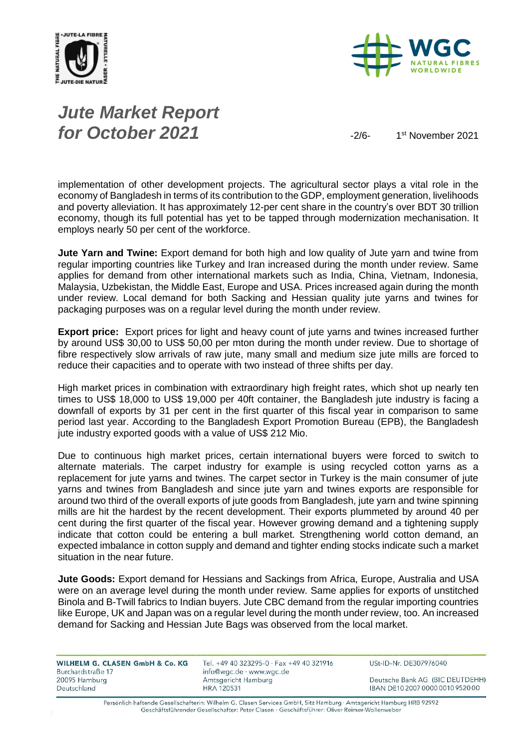



# *Jute Market Report for October 2021*  $\frac{1}{2}$

1<sup>st</sup> November 2021

implementation of other development projects. The agricultural sector plays a vital role in the economy of Bangladesh in terms of its contribution to the GDP, employment generation, livelihoods and poverty alleviation. It has approximately 12-per cent share in the country's over BDT 30 trillion economy, though its full potential has yet to be tapped through modernization mechanisation. It employs nearly 50 per cent of the workforce.

**Jute Yarn and Twine:** Export demand for both high and low quality of Jute yarn and twine from regular importing countries like Turkey and Iran increased during the month under review. Same applies for demand from other international markets such as India, China, Vietnam, Indonesia, Malaysia, Uzbekistan, the Middle East, Europe and USA. Prices increased again during the month under review. Local demand for both Sacking and Hessian quality jute yarns and twines for packaging purposes was on a regular level during the month under review.

**Export price:** Export prices for light and heavy count of jute yarns and twines increased further by around US\$ 30,00 to US\$ 50,00 per mton during the month under review. Due to shortage of fibre respectively slow arrivals of raw jute, many small and medium size jute mills are forced to reduce their capacities and to operate with two instead of three shifts per day.

High market prices in combination with extraordinary high freight rates, which shot up nearly ten times to US\$ 18,000 to US\$ 19,000 per 40ft container, the Bangladesh jute industry is facing a downfall of exports by 31 per cent in the first quarter of this fiscal year in comparison to same period last year. According to the Bangladesh Export Promotion Bureau (EPB), the Bangladesh jute industry exported goods with a value of US\$ 212 Mio.

Due to continuous high market prices, certain international buyers were forced to switch to alternate materials. The carpet industry for example is using recycled cotton yarns as a replacement for jute yarns and twines. The carpet sector in Turkey is the main consumer of jute yarns and twines from Bangladesh and since jute yarn and twines exports are responsible for around two third of the overall exports of jute goods from Bangladesh, jute yarn and twine spinning mills are hit the hardest by the recent development. Their exports plummeted by around 40 per cent during the first quarter of the fiscal year. However growing demand and a tightening supply indicate that cotton could be entering a bull market. Strengthening world cotton demand, an expected imbalance in cotton supply and demand and tighter ending stocks indicate such a market situation in the near future.

**Jute Goods:** Export demand for Hessians and Sackings from Africa, Europe, Australia and USA were on an average level during the month under review. Same applies for exports of unstitched Binola and B-Twill fabrics to Indian buyers. Jute CBC demand from the regular importing countries like Europe, UK and Japan was on a regular level during the month under review, too. An increased demand for Sacking and Hessian Jute Bags was observed from the local market.

| Tel. +49 40 323295-0 · Fax +49 40 321916 | USt-ID-Nr. DE307976040           |
|------------------------------------------|----------------------------------|
| info@wgc.de · www.wgc.de                 |                                  |
| Amtsgericht Hamburg                      | Deutsche Bank AG (BIC DEUTDEHH)  |
| HRA 120531                               | IBAN DE10 2007 0000 0010 9520 00 |
|                                          |                                  |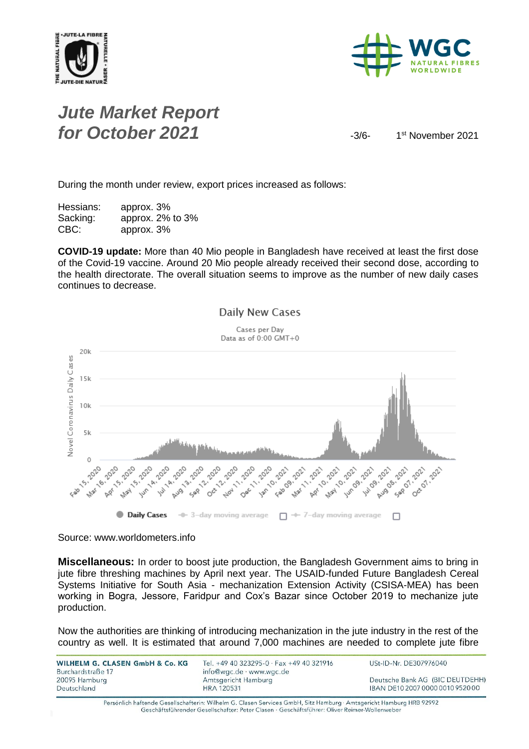



## *Jute Market Report for October 2021*  $\frac{3}{6}$

1<sup>st</sup> November 2021

During the month under review, export prices increased as follows:

Hessians: approx. 3% Sacking: approx. 2% to 3% CBC: approx. 3%

**COVID-19 update:** More than 40 Mio people in Bangladesh have received at least the first dose of the Covid-19 vaccine. Around 20 Mio people already received their second dose, according to the health directorate. The overall situation seems to improve as the number of new daily cases continues to decrease.



Source: www.worldometers.info

**Miscellaneous:** In order to boost jute production, the Bangladesh Government aims to bring in jute fibre threshing machines by April next year. The USAID-funded Future Bangladesh Cereal Systems Initiative for South Asia - mechanization Extension Activity (CSISA-MEA) has been working in Bogra, Jessore, Faridpur and Cox's Bazar since October 2019 to mechanize jute production.

Now the authorities are thinking of introducing mechanization in the jute industry in the rest of the country as well. It is estimated that around 7,000 machines are needed to complete jute fibre

| WILHELM G. CLASEN GmbH & Co. KG<br>Burchardstraße 17 | Tel. +49 40 323295-0 · Fax +49 40 321916<br>info@wgc.de · www.wgc.de | USt-ID-Nr. DE307976040           |
|------------------------------------------------------|----------------------------------------------------------------------|----------------------------------|
| 20095 Hamburg                                        | Amtsgericht Hamburg                                                  | Deutsche Bank AG (BIC DEUTDEHH)  |
| Deutschland                                          | <b>HRA 120531</b>                                                    | IBAN DE10 2007 0000 0010 9520 00 |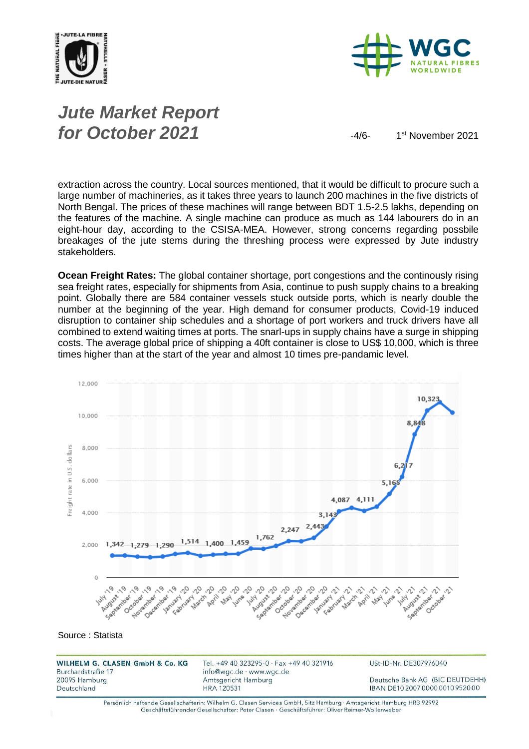

Deutschland



# *Jute Market Report for October 2021*  $-4/6$

1<sup>st</sup> November 2021

extraction across the country. Local sources mentioned, that it would be difficult to procure such a large number of machineries, as it takes three years to launch 200 machines in the five districts of North Bengal. The prices of these machines will range between BDT 1.5-2.5 lakhs, depending on the features of the machine. A single machine can produce as much as 144 labourers do in an eight-hour day, according to the CSISA-MEA. However, strong concerns regarding possbile breakages of the jute stems during the threshing process were expressed by Jute industry stakeholders.

**Ocean Freight Rates:** The global container shortage, port congestions and the continously rising sea freight rates, especially for shipments from Asia, continue to push supply chains to a breaking point. Globally there are 584 container vessels stuck outside ports, which is nearly double the number at the beginning of the year. High demand for consumer products, Covid-19 induced disruption to container ship schedules and a shortage of port workers and truck drivers have all combined to extend waiting times at ports. The snarl-ups in supply chains have a surge in shipping costs. The average global price of shipping a 40ft container is close to US\$ 10,000, which is three times higher than at the start of the year and almost 10 times pre-pandamic level.



IBAN DE10 2007 0000 0010 9520 00

Persönlich haftende Gesellschafterin: Wilhelm G. Clasen Services GmbH, Sitz Hamburg · Amtsgericht Hamburg HRB 92992 Geschäftsführender Gesellschafter: Peter Clasen · Geschäftsführer: Oliver Reimer-Wollenweber

**HRA 120531**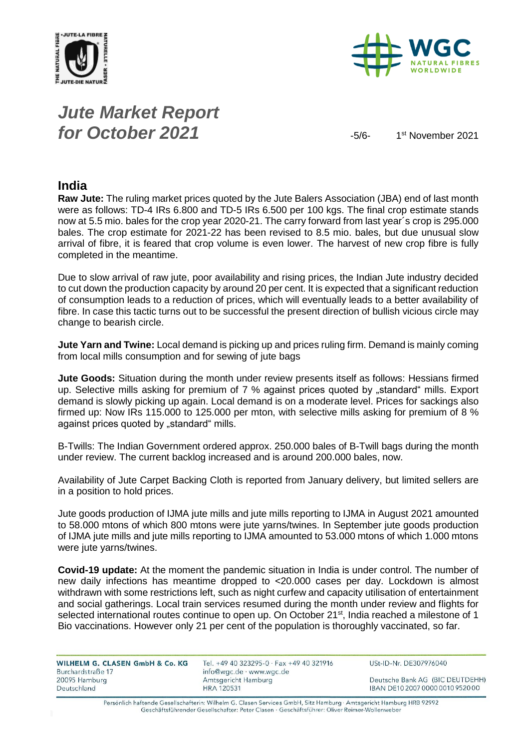



# *Jute Market Report for October 2021*  $-5/6$

1<sup>st</sup> November 2021

#### **India**

**Raw Jute:** The ruling market prices quoted by the Jute Balers Association (JBA) end of last month were as follows: TD-4 IRs 6.800 and TD-5 IRs 6.500 per 100 kgs. The final crop estimate stands now at 5.5 mio. bales for the crop year 2020-21. The carry forward from last year´s crop is 295.000 bales. The crop estimate for 2021-22 has been revised to 8.5 mio. bales, but due unusual slow arrival of fibre, it is feared that crop volume is even lower. The harvest of new crop fibre is fully completed in the meantime.

Due to slow arrival of raw jute, poor availability and rising prices, the Indian Jute industry decided to cut down the production capacity by around 20 per cent. It is expected that a significant reduction of consumption leads to a reduction of prices, which will eventually leads to a better availability of fibre. In case this tactic turns out to be successful the present direction of bullish vicious circle may change to bearish circle.

**Jute Yarn and Twine:** Local demand is picking up and prices ruling firm. Demand is mainly coming from local mills consumption and for sewing of jute bags

**Jute Goods:** Situation during the month under review presents itself as follows: Hessians firmed up. Selective mills asking for premium of 7 % against prices quoted by "standard" mills. Export demand is slowly picking up again. Local demand is on a moderate level. Prices for sackings also firmed up: Now IRs 115.000 to 125.000 per mton, with selective mills asking for premium of 8 % against prices quoted by "standard" mills.

B-Twills: The Indian Government ordered approx. 250.000 bales of B-Twill bags during the month under review. The current backlog increased and is around 200.000 bales, now.

Availability of Jute Carpet Backing Cloth is reported from January delivery, but limited sellers are in a position to hold prices.

Jute goods production of IJMA jute mills and jute mills reporting to IJMA in August 2021 amounted to 58.000 mtons of which 800 mtons were jute yarns/twines. In September jute goods production of IJMA jute mills and jute mills reporting to IJMA amounted to 53.000 mtons of which 1.000 mtons were jute yarns/twines.

**Covid-19 update:** At the moment the pandemic situation in India is under control. The number of new daily infections has meantime dropped to <20.000 cases per day. Lockdown is almost withdrawn with some restrictions left, such as night curfew and capacity utilisation of entertainment and social gatherings. Local train services resumed during the month under review and flights for selected international routes continue to open up. On October 21<sup>st</sup>, India reached a milestone of 1 Bio vaccinations. However only 21 per cent of the population is thoroughly vaccinated, so far.

| <b>WILHELM G. CLASEN GmbH &amp; Co. KG</b> |  |  |
|--------------------------------------------|--|--|
| Burchardstraße 17                          |  |  |
| 20095 Hamburg                              |  |  |
| Deutschland                                |  |  |

Tel. +49 40 323295-0 · Fax +49 40 321916 info@wgc.de · www.wgc.de Amtsgericht Hamburg **HRA 120531** 

USt-ID-Nr. DE307976040

Deutsche Bank AG (BIC DEUTDEHH) IBAN DE10 2007 0000 0010 9520 00